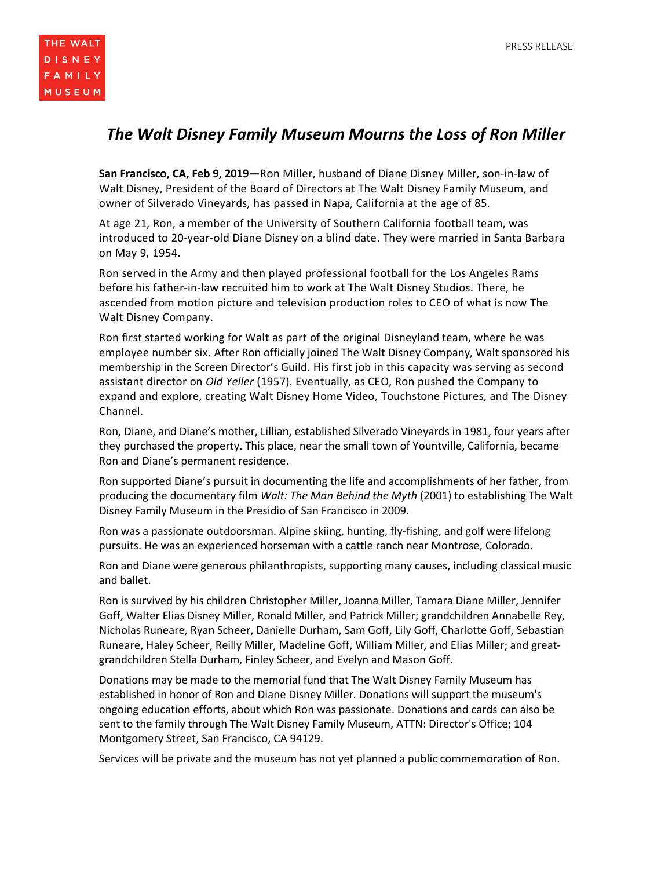## *The Walt Disney Family Museum Mourns the Loss of Ron Miller*

**San Francisco, CA, Feb 9, 2019—**Ron Miller, husband of Diane Disney Miller, son-in-law of Walt Disney, President of the Board of Directors at The Walt Disney Family Museum, and owner of Silverado Vineyards, has passed in Napa, California at the age of 85.

At age 21, Ron, a member of the University of Southern California football team, was introduced to 20-year-old Diane Disney on a blind date. They were married in Santa Barbara on May 9, 1954.

Ron served in the Army and then played professional football for the Los Angeles Rams before his father-in-law recruited him to work at The Walt Disney Studios. There, he ascended from motion picture and television production roles to CEO of what is now The Walt Disney Company.

Ron first started working for Walt as part of the original Disneyland team, where he was employee number six. After Ron officially joined The Walt Disney Company, Walt sponsored his membership in the Screen Director's Guild. His first job in this capacity was serving as second assistant director on *Old Yeller* (1957). Eventually, as CEO, Ron pushed the Company to expand and explore, creating Walt Disney Home Video, Touchstone Pictures, and The Disney Channel.

Ron, Diane, and Diane's mother, Lillian, established Silverado Vineyards in 1981, four years after they purchased the property. This place, near the small town of Yountville, California, became Ron and Diane's permanent residence.

Ron supported Diane's pursuit in documenting the life and accomplishments of her father, from producing the documentary film *Walt: The Man Behind the Myth* (2001) to establishing The Walt Disney Family Museum in the Presidio of San Francisco in 2009.

Ron was a passionate outdoorsman. Alpine skiing, hunting, fly-fishing, and golf were lifelong pursuits. He was an experienced horseman with a cattle ranch near Montrose, Colorado.

Ron and Diane were generous philanthropists, supporting many causes, including classical music and ballet.

Ron is survived by his children Christopher Miller, Joanna Miller, Tamara Diane Miller, Jennifer Goff, Walter Elias Disney Miller, Ronald Miller, and Patrick Miller; grandchildren Annabelle Rey, Nicholas Runeare, Ryan Scheer, Danielle Durham, Sam Goff, Lily Goff, Charlotte Goff, Sebastian Runeare, Haley Scheer, Reilly Miller, Madeline Goff, William Miller, and Elias Miller; and greatgrandchildren Stella Durham, Finley Scheer, and Evelyn and Mason Goff.

Donations may be made to the memorial fund that The Walt Disney Family Museum has established in honor of Ron and Diane Disney Miller. Donations will support the museum's ongoing education efforts, about which Ron was passionate. Donations and cards can also be sent to the family through The Walt Disney Family Museum, ATTN: Director's Office; 104 Montgomery Street, San Francisco, CA 94129.

Services will be private and the museum has not yet planned a public commemoration of Ron.